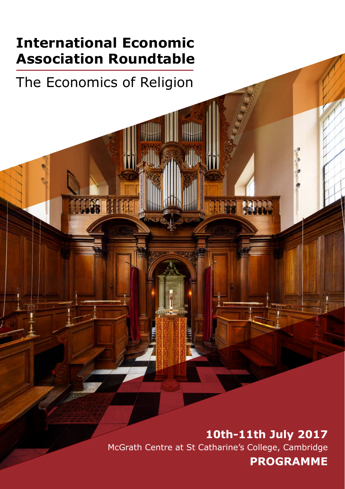### **International Economic Association Roundtable**

# The Economics of Religion

**10th-11th July 2017** McGrath Centre at St Catharine's College, Cambridge **PROGRAMME**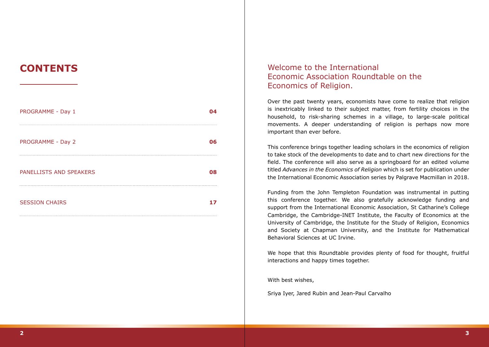| PROGRAMME - Day 1       | і4 |
|-------------------------|----|
| PROGRAMME - Day 2       | 06 |
| PANELLISTS AND SPEAKERS | 08 |
| <b>SESSION CHAIRS</b>   |    |

#### **CONTENTS** Welcome to the International Economic Association Roundtable on the Economics of Religion.

Over the past twenty years, economists have come to realize that religion is inextricably linked to their subject matter, from fertility choices in the household, to risk-sharing schemes in a village, to large-scale political movements. A deeper understanding of religion is perhaps now more important than ever before.

This conference brings together leading scholars in the economics of religion to take stock of the developments to date and to chart new directions for the field. The conference will also serve as a springboard for an edited volume titled *Advances in the Economics of Religion* which is set for publication under the International Economic Association series by Palgrave Macmillan in 2018.

Funding from the John Templeton Foundation was instrumental in putting this conference together. We also gratefully acknowledge funding and support from the International Economic Association, St Catharine's College Cambridge, the Cambridge-INET Institute, the Faculty of Economics at the University of Cambridge, the Institute for the Study of Religion, Economics and Society at Chapman University, and the Institute for Mathematical Behavioral Sciences at UC Irvine.

We hope that this Roundtable provides plenty of food for thought, fruitful interactions and happy times together.

With best wishes,

Sriya Iyer, Jared Rubin and Jean-Paul Carvalho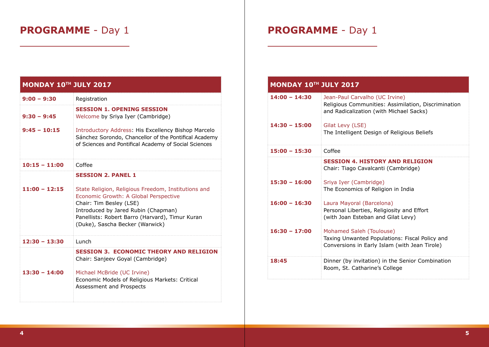| <b>MONDAY 10TH JULY 2017</b> |                                                                                                                                                                                                                                                      |  |
|------------------------------|------------------------------------------------------------------------------------------------------------------------------------------------------------------------------------------------------------------------------------------------------|--|
| $9:00 - 9:30$                | Registration                                                                                                                                                                                                                                         |  |
| $9:30 - 9:45$                | <b>SESSION 1. OPENING SESSION</b><br>Welcome by Sriya Iyer (Cambridge)                                                                                                                                                                               |  |
| $9:45 - 10:15$               | Introductory Address: His Excellency Bishop Marcelo<br>Sánchez Sorondo, Chancellor of the Pontifical Academy<br>of Sciences and Pontifical Academy of Social Sciences                                                                                |  |
| 10:15 - 11:00                | Coffee                                                                                                                                                                                                                                               |  |
|                              | <b>SESSION 2. PANEL 1</b>                                                                                                                                                                                                                            |  |
| $11:00 - 12:15$              | State Religion, Religious Freedom, Institutions and<br>Economic Growth: A Global Perspective<br>Chair: Tim Besley (LSE)<br>Introduced by Jared Rubin (Chapman)<br>Panellists: Robert Barro (Harvard), Timur Kuran<br>(Duke), Sascha Becker (Warwick) |  |
| 12:30 – 13:30                | Lunch                                                                                                                                                                                                                                                |  |
| $13:30 - 14:00$              | <b>SESSION 3. ECONOMIC THEORY AND RELIGION</b><br>Chair: Sanjeev Goyal (Cambridge)<br>Michael McBride (UC Irvine)<br>Economic Models of Religious Markets: Critical<br>Assessment and Prospects                                                      |  |

# **PROGRAMME** - Day 1

| <b>MONDAY 10TH JULY 2017</b> |                                                                                                                                  |  |
|------------------------------|----------------------------------------------------------------------------------------------------------------------------------|--|
| $14:00 - 14:30$              | Jean-Paul Carvalho (UC Irvine)<br>Religious Communities: Assimilation, Discrimination<br>and Radicalization (with Michael Sacks) |  |
| $14:30 - 15:00$              | Gilat Levy (LSE)<br>The Intelligent Design of Religious Beliefs                                                                  |  |
| $15:00 - 15:30$              | Coffee                                                                                                                           |  |
|                              | <b>SESSION 4. HISTORY AND RELIGION</b><br>Chair: Tiago Cavalcanti (Cambridge)                                                    |  |
| $15:30 - 16:00$              | Sriya Iyer (Cambridge)<br>The Economics of Religion in India                                                                     |  |
| $16:00 - 16:30$              | Laura Mayoral (Barcelona)<br>Personal Liberties, Religiosity and Effort<br>(with Joan Esteban and Gilat Levy)                    |  |
| $16:30 - 17:00$              | Mohamed Saleh (Toulouse)<br>Taxing Unwanted Populations: Fiscal Policy and<br>Conversions in Early Islam (with Jean Tirole)      |  |
| 18:45                        | Dinner (by invitation) in the Senior Combination<br>Room, St. Catharine's College                                                |  |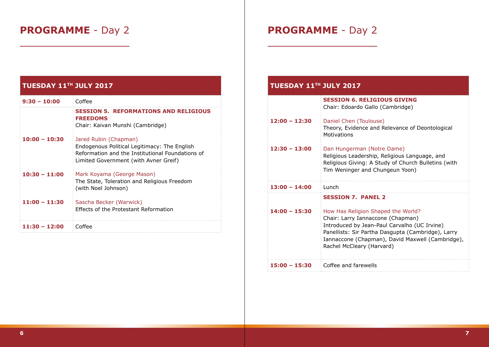# **PROGRAMME** - Day 2

#### **TUESDAY 11TH JULY 2017**

| $9:30 - 10:00$  | Coffee                                                                                                                                                             |
|-----------------|--------------------------------------------------------------------------------------------------------------------------------------------------------------------|
|                 | <b>SESSION 5. REFORMATIONS AND RELIGIOUS</b><br><b>FREEDOMS</b><br>Chair: Kaivan Munshi (Cambridge)                                                                |
| $10:00 - 10:30$ | Jared Rubin (Chapman)<br>Endogenous Political Legitimacy: The English<br>Reformation and the Institutional Foundations of<br>Limited Government (with Avner Greif) |
| $10:30 - 11:00$ | Mark Koyama (George Mason)<br>The State, Toleration and Religious Freedom<br>(with Noel Johnson)                                                                   |
| $11:00 - 11:30$ | Sascha Becker (Warwick)<br><b>Effects of the Protestant Reformation</b>                                                                                            |
| $11:30 - 12:00$ | Coffee                                                                                                                                                             |

# **PROGRAMME** - Day 2

#### **TUESDAY 11TH JULY 2017**

|                 | <b>SESSION 6. RELIGIOUS GIVING</b><br>Chair: Edoardo Gallo (Cambridge)                                                                                                                                                                                         |
|-----------------|----------------------------------------------------------------------------------------------------------------------------------------------------------------------------------------------------------------------------------------------------------------|
| $12:00 - 12:30$ | Daniel Chen (Toulouse)<br>Theory, Evidence and Relevance of Deontological<br><b>Motivations</b>                                                                                                                                                                |
| $12:30 - 13:00$ | Dan Hungerman (Notre Dame)<br>Religious Leadership, Religious Language, and<br>Religious Giving: A Study of Church Bulletins (with<br>Tim Weninger and Chungeun Yoon)                                                                                          |
| $13:00 - 14:00$ | Lunch                                                                                                                                                                                                                                                          |
|                 | <b>SESSION 7. PANEL 2</b>                                                                                                                                                                                                                                      |
| $14:00 - 15:30$ | How Has Religion Shaped the World?<br>Chair: Larry Iannaccone (Chapman)<br>Introduced by Jean-Paul Carvalho (UC Irvine)<br>Panellists: Sir Partha Dasgupta (Cambridge), Larry<br>Iannaccone (Chapman), David Maxwell (Cambridge),<br>Rachel McCleary (Harvard) |
| $15:00 - 15:30$ | Coffee and farewells                                                                                                                                                                                                                                           |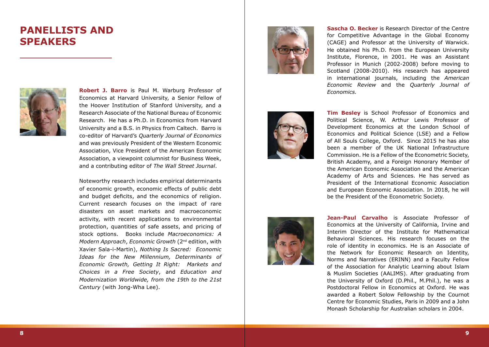### **PANELLISTS AND SPEAKERS**



**Robert J. Barro** is Paul M. Warburg Professor of Economics at Harvard University, a Senior Fellow of the Hoover Institution of Stanford University, and a Research Associate of the National Bureau of Economic Research. He has a Ph.D. in Economics from Harvard University and a B.S. in Physics from Caltech. Barro is co-editor of Harvard's *Quarterly Journal of Economics* and was previously President of the Western Economic Association, Vice President of the American Economic Association, a viewpoint columnist for Business Week, and a contributing editor of *The Wall Street Journal*.

Noteworthy research includes empirical determinants of economic growth, economic effects of public debt and budget deficits, and the economics of religion. Current research focuses on the impact of rare disasters on asset markets and macroeconomic activity, with recent applications to environmental protection, quantities of safe assets, and pricing of stock options. Books include *Macroeconomics: A Modern Approach*, *Economic Growth* (2nd edition, with Xavier Sala-i-Martin), *Nothing Is Sacred: Economic Ideas for the New Millennium, Determinants of Economic Growth, Getting It Right: Markets and Choices in a Free Society*, and *Education and Modernization Worldwide, from the 19th to the 21st Century* (with Jong-Wha Lee).







**Sascha O. Becker** is Research Director of the Centre for Competitive Advantage in the Global Economy (CAGE) and Professor at the University of Warwick. He obtained his Ph.D. from the European University Institute, Florence, in 2001. He was an Assistant Professor in Munich (2002-2008) before moving to Scotland (2008-2010). His research has appeared in international journals, including the *American Economic Review* and the *Quarterly Journal of Economics.*

**Tim Besley** is School Professor of Economics and Political Science, W. Arthur Lewis Professor of Development Economics at the London School of Economics and Political Science (LSE) and a Fellow of All Souls College, Oxford. Since 2015 he has also been a member of the UK National Infrastructure Commission. He is a Fellow of the Econometric Society, British Academy, and a Foreign Honorary Member of the American Economic Association and the American Academy of Arts and Sciences. He has served as President of the International Economic Association and European Economic Association. In 2018, he will be the President of the Econometric Society.

**Jean-Paul Carvalho** is Associate Professor of Economics at the University of California, Irvine and Interim Director of the Institute for Mathematical Behavioral Sciences. His research focuses on the role of identity in economics. He is an Associate of the Network for Economic Research on Identity, Norms and Narratives (ERINN) and a Faculty Fellow of the Association for Analytic Learning about Islam & Muslim Societies (AALIMS). After graduating from the University of Oxford (D.Phil., M.Phil.), he was a Postdoctoral Fellow in Economics at Oxford. He was awarded a Robert Solow Fellowship by the Cournot Centre for Economic Studies, Paris in 2009 and a John Monash Scholarship for Australian scholars in 2004.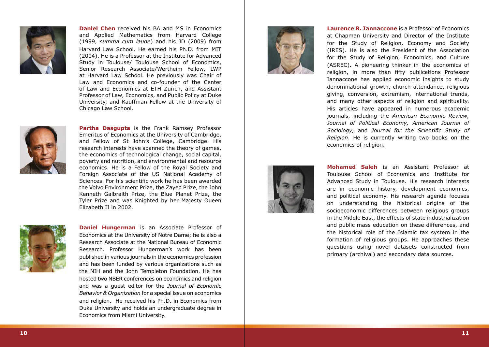

**Daniel Chen** received his BA and MS in Economics and Applied Mathematics from Harvard College (1999, *summa cum laude*) and his JD (2009) from Harvard Law School. He earned his Ph.D. from MIT (2004). He is a Professor at the Institute for Advanced Study in Toulouse/ Toulouse School of Economics, Senior Research Associate/Wertheim Fellow, LWP at Harvard Law School. He previously was Chair of Law and Economics and co-founder of the Center of Law and Economics at ETH Zurich, and Assistant Professor of Law, Economics, and Public Policy at Duke University, and Kauffman Fellow at the University of Chicago Law School.



**Partha Dasgupta** is the Frank Ramsey Professor Emeritus of Economics at the University of Cambridge, and Fellow of St John's College, Cambridge. His research interests have spanned the theory of games, the economics of technological change, social capital, poverty and nutrition, and environmental and resource economics. He is a Fellow of the Royal Society and Foreign Associate of the US National Academy of Sciences. For his scientific work he has been awarded the Volvo Environment Prize, the Zayed Prize, the John Kenneth Galbraith Prize, the Blue Planet Prize, the Tyler Prize and was Knighted by her Majesty Queen Elizabeth II in 2002.



**Daniel Hungerman** is an Associate Professor of Economics at the University of Notre Dame; he is also a Research Associate at the National Bureau of Economic Research. Professor Hungerman's work has been published in various journals in the economics profession and has been funded by various organizations such as the NIH and the John Templeton Foundation. He has hosted two NBER conferences on economics and religion and was a guest editor for the *Journal of Economic Behavior & Organization* for a special issue on economics and religion. He received his Ph.D. in Economics from Duke University and holds an undergraduate degree in Economics from Miami University.



**Laurence R. Iannaccone** is a Professor of Economics at Chapman University and Director of the Institute for the Study of Religion, Economy and Society (IRES). He is also the President of the Association for the Study of Religion, Economics, and Culture (ASREC). A pioneering thinker in the economics of religion, in more than fifty publications Professor Iannaccone has applied economic insights to study denominational growth, church attendance, religious giving, conversion, extremism, international trends, and many other aspects of religion and spirituality. His articles have appeared in numerous academic journals, including the *American Economic Review, Journal of Political Economy, American Journal of Sociology,* and *Journal for the Scientific Study of Religion*. He is currently writing two books on the economics of religion.



**Mohamed Saleh** is an Assistant Professor at Toulouse School of Economics and Institute for Advanced Study in Toulouse. His research interests are in economic history, development economics, and political economy. His research agenda focuses on understanding the historical origins of the socioeconomic differences between religious groups in the Middle East, the effects of state industrialization and public mass education on these differences, and the historical role of the Islamic tax system in the formation of religious groups. He approaches these questions using novel datasets constructed from primary (archival) and secondary data sources.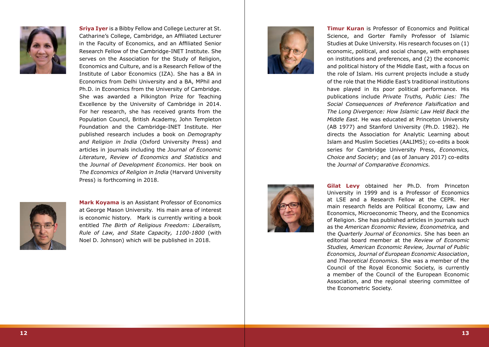

**Sriya Iyer** is a Bibby Fellow and College Lecturer at St. Catharine's College, Cambridge, an Affiliated Lecturer in the Faculty of Economics, and an Affiliated Senior Research Fellow of the Cambridge-INET Institute. She serves on the Association for the Study of Religion, Economics and Culture, and is a Research Fellow of the Institute of Labor Economics (IZA). She has a BA in Economics from Delhi University and a BA, MPhil and Ph.D. in Economics from the University of Cambridge. She was awarded a Pilkington Prize for Teaching Excellence by the University of Cambridge in 2014. For her research, she has received grants from the Population Council, British Academy, John Templeton Foundation and the Cambridge-INET Institute. Her published research includes a book on *Demography and Religion in India* (Oxford University Press) and articles in journals including the *Journal of Economic Literature*, *Review of Economics and Statistics* and the *Journal of Development Economics*. Her book on *The Economics of Religion in India* (Harvard University Press) is forthcoming in 2018.



**Mark Koyama** is an Assistant Professor of Economics at George Mason University. His main area of interest is economic history. Mark is currently writing a book entitled *The Birth of Religious Freedom: Liberalism, Rule of Law, and State Capacity, 1100-1800* (with Noel D. Johnson) which will be published in 2018.



**Timur Kuran** is Professor of Economics and Political Science, and Gorter Family Professor of Islamic Studies at Duke University. His research focuses on (1) economic, political, and social change, with emphases on institutions and preferences, and (2) the economic and political history of the Middle East, with a focus on the role of Islam. His current projects include a study of the role that the Middle East's traditional institutions have played in its poor political performance. His publications include *Private Truths, Public Lies: The Social Consequences of Preference Falsification* and *The Long Divergence: How Islamic Law Held Back the Middle East*. He was educated at Princeton University (AB 1977) and Stanford University (Ph.D. 1982). He directs the Association for Analytic Learning about Islam and Muslim Societies (AALIMS); co-edits a book series for Cambridge University Press, *Economics, Choice and Society*; and (as of January 2017) co-edits the *Journal of Comparative Economics.*



**Gilat Levy** obtained her Ph.D. from Princeton University in 1999 and is a Professor of Economics at LSE and a Research Fellow at the CEPR. Her main research fields are Political Economy, Law and Economics, Microeconomic Theory, and the Economics of Religion. She has published articles in journals such as the *American Economic Review, Econometrica,* and the *Quarterly Journal of Economics*. She has been an editorial board member at the *Review of Economic Studies, American Economic Review, Journal of Public Economics, Journal of European Economic Association*, and *Theoretical Economics*. She was a member of the Council of the Royal Economic Society, is currently a member of the Council of the European Economic Association, and the regional steering committee of the Econometric Society.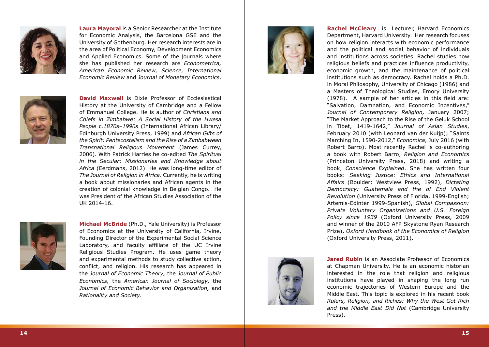

**Laura Mayoral** is a Senior Researcher at the Institute for Economic Analysis, the Barcelona GSE and the University of Gothenburg. Her research interests are in the area of Political Economy, Development Economics and Applied Economics. Some of the journals where she has published her research are *Econometrica, American Economic Review, Science, International Economic Review* and *Journal of Monetary Economics* .



**David Maxwell** is Dixie Professor of Ecclesiastical History at the University of Cambridge and a Fellow of Emmanuel College. He is author of *Christians and Chiefs in Zimbabwe: A Social History of the Hwesa People*  c*.1870s–1990s* (International African Library/ Edinburgh University Press, 1999) and *African Gifts of the Spirit: Pentecostalism and the Rise of a Zimbabwean Transnational Religious Movement* (James Currey, 2006). With Patrick Harries he co-edited *The Spiritual in the Secular: Missionaries and Knowledge about Africa* (Eerdmans, 2012). He was long-time editor of *The Journal of Religion in Africa*. Currently, he is writing a book about missionaries and African agents in the creation of colonial knowledge in Belgian Congo. He was President of the African Studies Association of the UK 2014-16.



**Michael McBride** (Ph.D., Yale University) is Professor of Economics at the University of California, Irvine, Founding Director of the Experimental Social Science Laboratory, and faculty affiliate of the UC Irvine Religious Studies Program. He uses game theory and experimental methods to study collective action, conflict, and religion. His research has appeared in the *Journal of Economic Theory,* the *Journal of Public Economics,* the *American Journal of Sociology,* the *Journal of Economic Behavior and Organization,* and *Rationality and Society.*



**Rachel McCleary** is Lecturer, Harvard Economics Department, Harvard University. Her research focuses on how religion interacts with economic performance and the political and social behavior of individuals and institutions across societies. Rachel studies how religious beliefs and practices influence productivity, economic growth, and the maintenance of political institutions such as democracy. Rachel holds a Ph.D. in Moral Philosophy, University of Chicago (1986) and a Masters of Theological Studies, Emory University (1978). A sample of her articles in this field are: "Salvation, Damnation, and Economic Incentives," *Journal of Contemporary Religion,* January 2007; "The Market Approach to the Rise of the Geluk School in Tibet, 1419-1642," *Journal of Asian Studies*, February 2010 (with Leonard van der Kuijp); "Saints Marching In, 1590-2012," *Economica,* July 2016 (with Robert Barro). Most recently Rachel is co-authoring a book with Robert Barro, *Religion and Economics* (Princeton University Press, 2018) and writing a book, *Conscience Explained*. She has written four books: *Seeking Justice: Ethics and International Affairs* (Boulder: Westview Press, 1992), *Dictating Democracy: Guatemala and the of End Violent Revolution* (University Press of Florida, 1999-English; Artemis-Edinter 1999-Spanish), *Global Compassion: Private Voluntary Organizations and U.S. Foreign Policy since 1939* (Oxford University Press, 2009 and winner of the 2010 AFP Skystone Ryan Research Prize), *Oxford Handbook of the Economics of Religion* (Oxford University Press, 2011).



**Jared Rubin** is an Associate Professor of Economics at Chapman University. He is an economic historian interested in the role that religion and religious institutions have played in shaping the long run economic trajectories of Western Europe and the Middle East. This topic is explored in his recent book *Rulers, Religion, and Riches: Why the West Got Rich and the Middle East Did Not* (Cambridge University Press).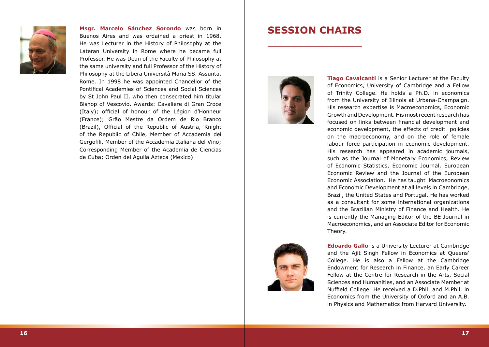

**Msgr. Marcelo Sánchez Sorondo** was born in Buenos Aires and was ordained a priest in 1968. He was Lecturer in the History of Philosophy at the Lateran University in Rome where he became full Professor. He was Dean of the Faculty of Philosophy at the same university and full Professor of the History of Philosophy at the Libera Università Maria SS. Assunta, Rome. In 1998 he was appointed Chancellor of the Pontifical Academies of Sciences and Social Sciences by St John Paul II, who then consecrated him titular Bishop of Vescovìo. Awards: Cavaliere di Gran Croce (Italy); official of honour of the Légion d'Honneur (France); Grão Mestre da Ordem de Rio Branco (Brazil), Official of the Republic of Austria, Knight of the Republic of Chile, Member of Accademia dei Gergofili, Member of the Accademia Italiana del Vino; Corresponding Member of the Academia de Ciencias de Cuba; Orden del Aguila Azteca (Mexico).

### **SESSION CHAIRS**



**Tiago Cavalcanti** is a Senior Lecturer at the Faculty of Economics, University of Cambridge and a Fellow of Trinity College. He holds a Ph.D. in economics from the University of Illinois at Urbana-Champaign. His research expertise is Macroeconomics, Economic Growth and Development. His most recent research has focused on links between financial development and economic development, the effects of credit policies on the macroeconomy, and on the role of female labour force participation in economic development. His research has appeared in academic journals, such as the Journal of Monetary Economics, Review of Economic Statistics, Economic Journal, European Economic Review and the Journal of the European Economic Association. He has taught Macroeonomics and Economic Development at all levels in Cambridge, Brazil, the United States and Portugal. He has worked as a consultant for some international organizations and the Brazilian Ministry of Finance and Health. He is currently the Managing Editor of the BE Journal in Macroeconomics, and an Associate Editor for Economic Theory.



**Edoardo Gallo** is a University Lecturer at Cambridge and the Ajit Singh Fellow in Economics at Queens' College. He is also a Fellow at the Cambridge Endowment for Research in Finance, an Early Career Fellow at the Centre for Research in the Arts, Social Sciences and Humanities, and an Associate Member at Nuffield College. He received a D.Phil. and M.Phil. in Economics from the University of Oxford and an A.B. in Physics and Mathematics from Harvard University.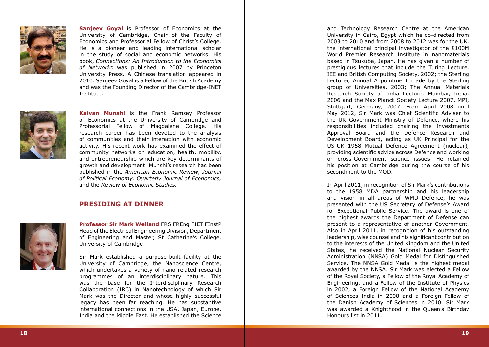

**Sanjeev Goval** is Professor of Economics at the University of Cambridge, Chair of the Faculty of Economics and Professorial Fellow of Christ's College. He is a pioneer and leading international scholar in the study of social and economic networks. His book, *Connections: An Introduction to the Economics of Networks* was published in 2007 by Princeton University Press. A Chinese translation appeared in 2010. Sanjeev Goyal is a Fellow of the British Academy and was the Founding Director of the Cambridge-INET Institute.



**Kaivan Munshi** is the Frank Ramsey Professor of Economics at the University of Cambridge and Professorial Fellow of Magdalene College. His research career has been devoted to the analysis of communities and their interaction with economic activity. His recent work has examined the effect of community networks on education, health, mobility, and entrepreneurship which are key determinants of growth and development. Munshi's research has been published in the *American Economic Review, Journal of Political Economy, Quarterly Journal of Economics,* and the *Review of Economic Studies.*

#### **PRESIDING AT DINNER**



**Professor Sir Mark Welland** FRS FREng FIET FInstP Head of the Electrical Engineering Division, Department of Engineering and Master, St Catharine's College, University of Cambridge

Sir Mark established a purpose-built facility at the University of Cambridge, the Nanoscience Centre, which undertakes a variety of nano-related research programmes of an interdisciplinary nature. This was the base for the Interdisciplinary Research Collaboration (IRC) in Nanotechnology of which Sir Mark was the Director and whose highly successful legacy has been far reaching. He has substantive international connections in the USA, Japan, Europe, India and the Middle East. He established the Science

and Technology Research Centre at the American University in Cairo, Egypt which he co-directed from 2003 to 2010 and from 2008 to 2012 was for the UK, the international principal investigator of the £100M World Premier Research Institute in nanomaterials based in Tsukuba, Japan. He has given a number of prestigious lectures that include the Turing Lecture, IEE and British Computing Society, 2002; the Sterling Lecturer, Annual Appointment made by the Sterling group of Universities, 2003; The Annual Materials Research Society of India Lecture, Mumbai, India, 2006 and the Max Planck Society Lecture 2007, MPI, Stuttgart, Germany, 2007. From April 2008 until May 2012, Sir Mark was Chief Scientific Adviser to the UK Government Ministry of Defence, where his responsibilities included chairing the Investments Approval Board and the Defence Research and Development Board, acting as UK Principal for the US-UK 1958 Mutual Defence Agreement (nuclear), providing scientific advice across Defence and working on cross-Government science issues. He retained his position at Cambridge during the course of his secondment to the MOD.

In April 2011, in recognition of Sir Mark's contributions to the 1958 MDA partnership and his leadership and vision in all areas of WMD Defence, he was presented with the US Secretary of Defense's Award for Exceptional Public Service. The award is one of the highest awards the Department of Defense can present to a representative of another Government. Also in April 2011, in recognition of his outstanding leadership, wise counsel and his significant contribution to the interests of the United Kingdom and the United States, he received the National Nuclear Security Administration (NNSA) Gold Medal for Distinguished Service. The NNSA Gold Medal is the highest medal awarded by the NNSA. Sir Mark was elected a Fellow of the Royal Society, a Fellow of the Royal Academy of Engineering, and a Fellow of the Institute of Physics in 2002, a Foreign Fellow of the National Academy of Sciences India in 2008 and a Foreign Fellow of the Danish Academy of Sciences in 2010. Sir Mark was awarded a Knighthood in the Queen's Birthday Honours list in 2011.